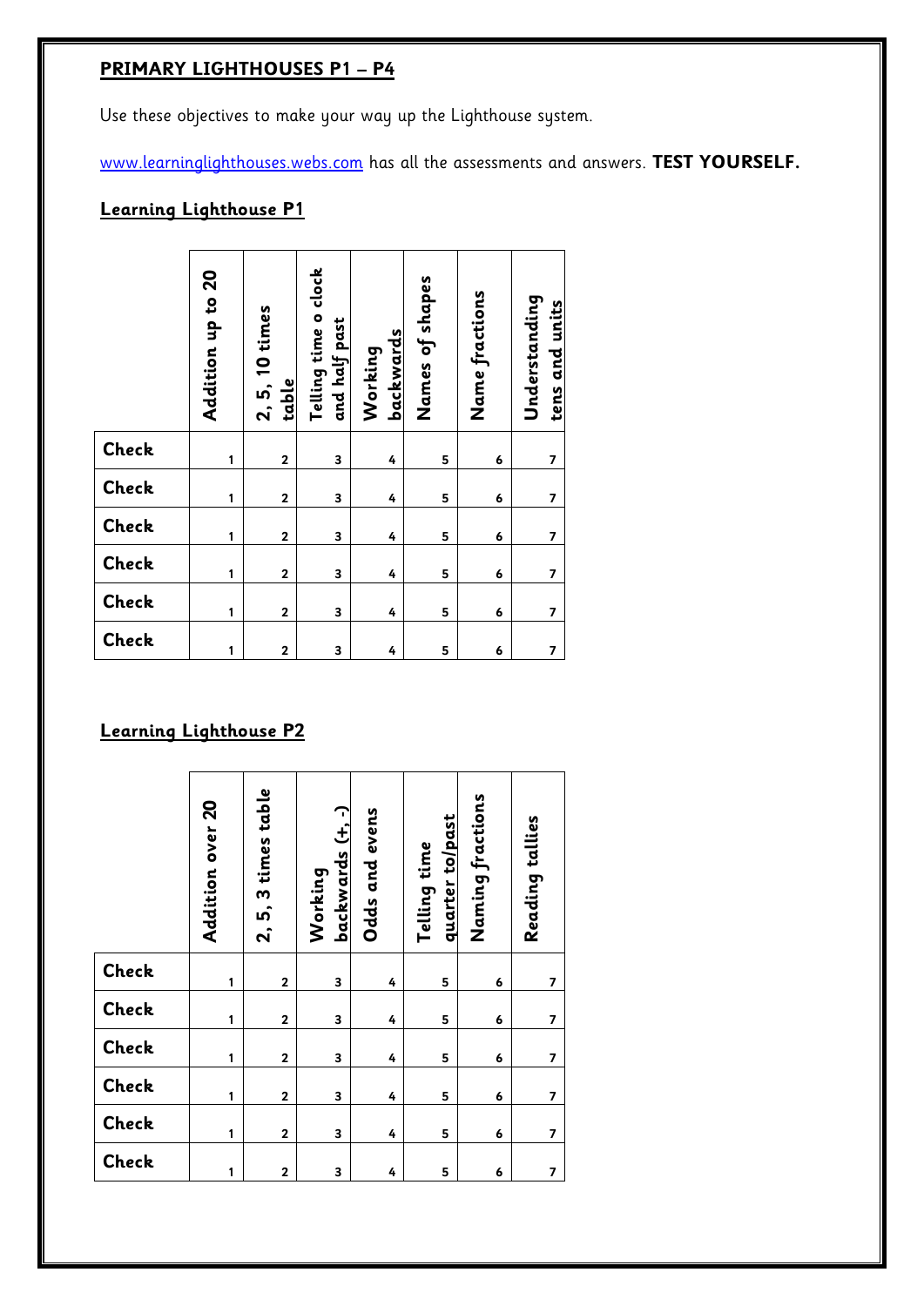# **PRIMARY LIGHTHOUSES P1 – P4**

Use these objectives to make your way up the Lighthouse system.

[www.learninglighthouses.webs.com](http://www.learninglighthouses.webs.com/) has all the assessments and answers. **TEST YOURSELF.**

## **Learning Lighthouse P1**

|                               | Addition up to 20 | 2, 5, 10 times<br>table | Telling time o clock<br>and half past | backwards<br>Working | Names of shapes | Name fractions | Understanding<br>tens and units |
|-------------------------------|-------------------|-------------------------|---------------------------------------|----------------------|-----------------|----------------|---------------------------------|
| Check                         | 1                 | $\overline{2}$          | 3                                     | 4                    | 5               | 6              | 7                               |
| Check                         | 1                 | $\mathbf 2$             | 3                                     | 4                    | 5               | 6              | $\overline{\phantom{a}}$        |
| Check                         | 1                 | $\mathbf 2$             | 3                                     | 4                    | 5               | 6              | 7                               |
| Check                         | 1                 | $\mathbf{2}$            | 3                                     | 4                    | 5               | 6              | 7                               |
| Check                         | 1                 | $\mathbf 2$             | 3                                     | 4                    | 5               | 6              | 7                               |
| Check                         | 1                 | $\mathbf 2$             | 3                                     | 4                    | 5               | 6              | 7                               |
| <b>Learning Lighthouse P2</b> |                   |                         |                                       |                      |                 |                |                                 |

|              | Addition over 20 | 2, 5, 3 times table     | backwards (+, -)<br>Working | Odds and evens | quarter to/past<br>Telling time | Naming fractions | Reading tallies         |
|--------------|------------------|-------------------------|-----------------------------|----------------|---------------------------------|------------------|-------------------------|
| Check        | 1                | $\mathbf 2$             | 3                           | 4              | 5                               | 6                | $\overline{7}$          |
| Check        | 1                | $\overline{\mathbf{c}}$ | 3                           | 4              | 5                               | 6                | 7                       |
| <b>Check</b> | 1                | $\overline{\mathbf{2}}$ | 3                           | 4              | 5                               | 6                | $\overline{\mathbf{z}}$ |
| Check        | 1                | $\overline{\mathbf{2}}$ | 3                           | 4              | 5                               | 6                | $\overline{7}$          |
| Check        | 1                | $\mathbf 2$             | 3                           | 4              | 5                               | 6                | 7                       |
| Check        | 1                | $\overline{2}$          | 3                           | 4              | 5                               | 6                | $\overline{7}$          |